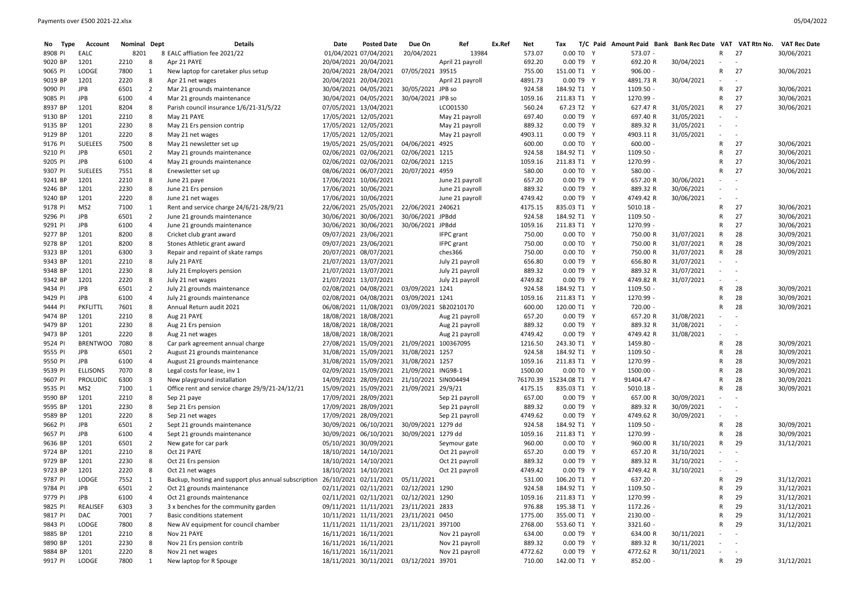| <b>Type</b><br>No | Account         | Nominal Dept |                | <b>Details</b>                                       | Date                  | <b>Posted Date</b>                     | Due On               | Ref                   | Ex.Ref | Net     | Tax                    | T/C Paid Amount Paid Bank Bank Rec Date VAT VAT Rtn No. |            |                                        |                          | <b>VAT Rec Date</b> |
|-------------------|-----------------|--------------|----------------|------------------------------------------------------|-----------------------|----------------------------------------|----------------------|-----------------------|--------|---------|------------------------|---------------------------------------------------------|------------|----------------------------------------|--------------------------|---------------------|
| 8908 PI           | EALC            | 8201         |                | 8 EALC affliation fee 2021/22                        |                       | 01/04/2021 07/04/2021                  | 20/04/2021           | 13984                 |        | 573.07  | 0.00 TO Y              | 573.07 -                                                |            | R                                      | 27                       | 30/06/2021          |
| 9020 BP           | 1201            | 2210         |                | Apr 21 PAYE                                          | 20/04/2021 20/04/2021 |                                        |                      | April 21 payroll      |        | 692.20  | 0.00 T9 Y              | 692.20 R                                                | 30/04/2021 | $\overline{\phantom{a}}$               | $\overline{\phantom{a}}$ |                     |
| 9065 PI           | LODGE           | 7800         |                | New laptop for caretaker plus setup                  |                       | 20/04/2021 28/04/2021                  | 07/05/2021 39515     |                       |        | 755.00  | 151.00 T1 Y            | $906.00 -$                                              |            | R                                      | 27                       | 30/06/2021          |
| 9019 BP           | 1201            | 2220         | 8              | Apr 21 net wages                                     | 20/04/2021 20/04/2021 |                                        |                      | April 21 payroll      |        | 4891.73 | 0.00 T9 Y              | 4891.73 R                                               | 30/04/2021 |                                        | $\overline{\phantom{a}}$ |                     |
| 9090 PI           | <b>JPB</b>      | 6501         | $\overline{2}$ | Mar 21 grounds maintenance                           |                       | 30/04/2021 04/05/2021                  | 30/05/2021 JPB so    |                       |        | 924.58  | 184.92 T1 Y            | 1109.50 -                                               |            | R                                      | 27                       | 30/06/2021          |
| 9085 PI           | <b>JPB</b>      | 6100         | 4              | Mar 21 grounds maintenance                           |                       | 30/04/2021 04/05/2021                  | 30/04/2021 JPB so    |                       |        | 1059.16 | 211.83 T1 Y            | 1270.99 -                                               |            | R                                      | 27                       | 30/06/2021          |
| 8937 BP           | 1201            | 8204         | 8              | Parish council insurance 1/6/21-31/5/22              | 07/05/2021 13/04/2021 |                                        |                      | LCO01530              |        | 560.24  | 67.23 T2 Y             | 627.47 R                                                | 31/05/2021 | R                                      | 27                       | 30/06/2021          |
| 9130 BP           | 1201            | 2210         | 8              | May 21 PAYE                                          | 17/05/2021 12/05/2021 |                                        |                      | May 21 payroll        |        | 697.40  | 0.00 T9 Y              | 697.40 R                                                | 31/05/2021 | $\overline{\phantom{0}}$               | $\sim$ $-$               |                     |
| 9135 BP           | 1201            | 2230         | 8              | May 21 Ers pension contrip                           | 17/05/2021 12/05/2021 |                                        |                      | May 21 payroll        |        | 889.32  | 0.00 T9 Y              | 889.32 R                                                | 31/05/2021 |                                        | $\sim$ $-$               |                     |
| 9129 BP           | 1201            | 2220         | 8              | May 21 net wages                                     | 17/05/2021 12/05/2021 |                                        |                      | May 21 payroll        |        | 4903.11 | 0.00 T9 Y              | 4903.11 R                                               | 31/05/2021 | $\overline{\phantom{0}}$               |                          |                     |
| 9176 PI           | <b>SUELEES</b>  | 7500         | 8              | May 21 newsletter set up                             | 19/05/2021 25/05/2021 |                                        | 04/06/2021 4925      |                       |        | 600.00  | 0.00 TO Y              | $600.00 -$                                              |            | R                                      | 27                       | 30/06/2021          |
| 9210 PI           | <b>JPB</b>      | 6501         | $\overline{2}$ | May 21 grounds maintenance                           | 02/06/2021 02/06/2021 |                                        | 02/06/2021 1215      |                       |        | 924.58  | 184.92 T1 Y            | 1109.50 -                                               |            | R                                      | 27                       | 30/06/2021          |
| 9205 PI           | <b>JPB</b>      | 6100         | 4              | May 21 grounds maintenance                           | 02/06/2021 02/06/2021 |                                        | 02/06/2021 1215      |                       |        | 1059.16 | 211.83 T1 Y            | 1270.99 -                                               |            | R                                      | 27                       | 30/06/2021          |
| 9307 PI           | <b>SUELEES</b>  | 7551         | -8             | Enewsletter set up                                   |                       | 08/06/2021 06/07/2021                  | 20/07/2021 4959      |                       |        | 580.00  | 0.00 TO Y              | 580.00                                                  |            | R                                      | 27                       | 30/06/2021          |
| 9241 BP           | 1201            | 2210         | 8              | June 21 paye                                         | 17/06/2021 10/06/2021 |                                        |                      | June 21 payroll       |        | 657.20  | 0.00 T9 Y              | 657.20 R                                                | 30/06/2021 |                                        | $\overline{\phantom{a}}$ |                     |
| 9246 BP           | 1201            | 2230         | -8             | June 21 Ers pension                                  | 17/06/2021 10/06/2021 |                                        |                      | June 21 payroll       |        | 889.32  | 0.00 T9 Y              | 889.32 R                                                | 30/06/2021 |                                        | $\sim$                   |                     |
| 9240 BP           | 1201            | 2220         | 8              | June 21 net wages                                    | 17/06/2021 10/06/2021 |                                        |                      | June 21 payroll       |        | 4749.42 | 0.00 T9 Y              | 4749.42 R                                               | 30/06/2021 | $\overline{\phantom{0}}$               | $\overline{\phantom{a}}$ |                     |
| 9178 PI           | MS <sub>2</sub> | 7100         | 1              | Rent and service charge 24/6/21-28/9/21              |                       | 22/06/2021 25/05/2021                  | 22/06/2021 240621    |                       |        | 4175.15 | 835.03 T1 Y            | $5010.18 -$                                             |            | R                                      | 27                       | 30/06/2021          |
| 9296 PI           | <b>JPB</b>      | 6501         | $\overline{2}$ | June 21 grounds maintenance                          |                       | 30/06/2021 30/06/2021                  | 30/06/2021 JPBdd     |                       |        | 924.58  | 184.92 T1 Y            | 1109.50 -                                               |            | R                                      | 27                       | 30/06/2021          |
| 9291 PI           | JPB             | 6100         | 4              | June 21 grounds maintenance                          |                       | 30/06/2021 30/06/2021                  | 30/06/2021 JPBdd     |                       |        | 1059.16 | 211.83 T1 Y            | 1270.99 -                                               |            | R                                      | 27                       | 30/06/2021          |
| 9277 BP           | 1201            | 8200         | 8              | Cricket club grant award                             | 09/07/2021 23/06/2021 |                                        |                      | IFPC grant            |        | 750.00  | 0.00 TO Y              | 750.00 R                                                | 31/07/2021 | R                                      | 28                       | 30/09/2021          |
| 9278 BP           | 1201            | 8200         | 8              | Stones Athletic grant award                          | 09/07/2021 23/06/2021 |                                        |                      | <b>IFPC</b> grant     |        | 750.00  | 0.00 TO Y              | 750.00 R                                                | 31/07/2021 | R                                      | 28                       | 30/09/2021          |
| 9323 BP           | 1201            | 6300         | -3             | Repair and repaint of skate ramps                    | 20/07/2021 08/07/2021 |                                        |                      | ches366               |        | 750.00  | 0.00 TO Y              | 750.00 R                                                | 31/07/2021 | R                                      | 28                       | 30/09/2021          |
| 9343 BP           | 1201            | 2210         | 8              | July 21 PAYE                                         | 21/07/2021 13/07/2021 |                                        |                      | July 21 payroll       |        | 656.80  | 0.00 T9 Y              | 656.80 R                                                | 31/07/2021 |                                        | $\sim$                   |                     |
| 9348 BP           | 1201            | 2230         | 8              | July 21 Employers pension                            | 21/07/2021 13/07/2021 |                                        |                      | July 21 payroll       |        | 889.32  | 0.00 T9 Y              | 889.32 R                                                | 31/07/2021 |                                        | $\sim$                   |                     |
| 9342 BP           | 1201            | 2220         | 8              | July 21 net wages                                    | 21/07/2021 13/07/2021 |                                        |                      | July 21 payroll       |        | 4749.82 | 0.00 T9 Y              | 4749.82 R                                               | 31/07/2021 | $\overline{\phantom{a}}$               | $\overline{\phantom{a}}$ |                     |
| 9434 PI           | <b>JPB</b>      | 6501         | $\overline{2}$ | July 21 grounds maintenance                          |                       | 02/08/2021 04/08/2021                  | 03/09/2021 1241      |                       |        | 924.58  | 184.92 T1 Y            | 1109.50 -                                               |            | R                                      | 28                       | 30/09/2021          |
| 9429 PI           | JPB             | 6100         | $\overline{4}$ | July 21 grounds maintenance                          |                       | 02/08/2021 04/08/2021                  | 03/09/2021 1241      |                       |        | 1059.16 | 211.83 T1 Y            | 1270.99 -                                               |            | R                                      | 28                       | 30/09/2021          |
| 9444 PI           | PKFLITTL        | 7601         | 8              | Annual Return audit 2021                             |                       | 06/08/2021 11/08/2021                  |                      | 03/09/2021 SB20210170 |        | 600.00  | 120.00 T1 Y            | 720.00 -                                                |            | R                                      | 28                       | 30/09/2021          |
| 9474 BP           | 1201            | 2210         | 8              | Aug 21 PAYE                                          | 18/08/2021 18/08/2021 |                                        |                      | Aug 21 payroll        |        | 657.20  | 0.00 T9 Y              | 657.20 R                                                | 31/08/2021 |                                        | $\sim$                   |                     |
| 9479 BP           | 1201            | 2230         | 8              | Aug 21 Ers pension                                   | 18/08/2021 18/08/2021 |                                        |                      | Aug 21 payroll        |        | 889.32  | 0.00 T9 Y              | 889.32 R                                                | 31/08/2021 | $\overline{\phantom{a}}$               | $\sim$ $-$               |                     |
| 9473 BP           | 1201            | 2220         | 8              | Aug 21 net wages                                     | 18/08/2021 18/08/2021 |                                        |                      | Aug 21 payroll        |        | 4749.42 | 0.00 T9 Y              | 4749.42 R                                               | 31/08/2021 |                                        | $\overline{\phantom{a}}$ |                     |
| 9524 PI           | <b>BRENTWOO</b> | 7080         | 8              | Car park agreement annual charge                     |                       | 27/08/2021 15/09/2021                  | 21/09/2021 100367095 |                       |        | 1216.50 | 243.30 T1 Y            | 1459.80 -                                               |            | R                                      | 28                       | 30/09/2021          |
| 9555 PI           | <b>JPB</b>      | 6501         | 2              | August 21 grounds maintenance                        |                       | 31/08/2021 15/09/2021                  | 31/08/2021 1257      |                       |        | 924.58  | 184.92 T1 Y            | 1109.50 -                                               |            | R                                      | 28                       | 30/09/2021          |
| 9550 PI           | <b>JPB</b>      | 6100         | $\overline{a}$ | August 21 grounds maintenance                        |                       | 31/08/2021 15/09/2021                  | 31/08/2021 1257      |                       |        | 1059.16 | 211.83 T1 Y            | 1270.99 -                                               |            | R                                      | 28                       | 30/09/2021          |
| 9539 PI           | <b>ELLISONS</b> | 7070         | -8             | Legal costs for lease, inv 1                         |                       | 02/09/2021 15/09/2021                  | 21/09/2021 ING98-1   |                       |        | 1500.00 | 0.00 TO Y              | 1500.00 -                                               |            | R                                      | 28                       | 30/09/2021          |
| 9607 PI           | <b>PROLUDIC</b> | 6300         | -3             | New playground installation                          |                       | 14/09/2021 28/09/2021                  | 21/10/2021 SIN004494 |                       |        |         | 76170.39 15234.08 T1 Y | 91404.47 -                                              |            | R                                      | 28                       | 30/09/2021          |
| 9535 PI           | MS2             | 7100         | 1              | Office rent and service charge 29/9/21-24/12/21      |                       | 15/09/2021 15/09/2021                  | 21/09/2021 29/9/21   |                       |        | 4175.15 | 835.03 T1 Y            | $5010.18 -$                                             |            | R                                      | 28                       | 30/09/2021          |
| 9590 BP           | 1201            | 2210         | 8              | Sep 21 paye                                          | 17/09/2021 28/09/2021 |                                        |                      | Sep 21 payroll        |        | 657.00  | 0.00 T9 Y              | 657.00 R                                                | 30/09/2021 | $\overline{\phantom{0}}$               | $\sim$ $-$               |                     |
| 9595 BP           | 1201            | 2230         | 8              | Sep 21 Ers pension                                   | 17/09/2021 28/09/2021 |                                        |                      | Sep 21 payroll        |        | 889.32  | 0.00 T9 Y              | 889.32 R                                                | 30/09/2021 |                                        | $\sim$                   |                     |
| 9589 BP           | 1201            | 2220         | 8              | Sep 21 net wages                                     | 17/09/2021 28/09/2021 |                                        |                      | Sep 21 payroll        |        | 4749.62 | 0.00 T9 Y              | 4749.62 R                                               | 30/09/2021 | $\overline{\phantom{a}}$               | $\sim$                   |                     |
| 9662 PI           | JPB             | 6501         | 2              | Sept 21 grounds maintenance                          |                       | 30/09/2021 06/10/2021                  | 30/09/2021 1279 dd   |                       |        | 924.58  | 184.92 T1 Y            | 1109.50 -                                               |            | R                                      | 28                       | 30/09/2021          |
| 9657 PI           | JPB             | 6100         | -4             | Sept 21 grounds maintenance                          |                       | 30/09/2021 06/10/2021                  | 30/09/2021 1279 dd   |                       |        | 1059.16 | 211.83 T1 Y            | 1270.99 -                                               |            | R                                      | 28                       | 30/09/2021          |
| 9636 BP           | 1201            | 6501         | $\overline{2}$ | New gate for car park                                | 05/10/2021 30/09/2021 |                                        |                      | Seymour gate          |        | 960.00  | 0.00 TO Y              | 960.00 R                                                | 31/10/2021 | R                                      | 29                       | 31/12/2021          |
| 9724 BP           | 1201            | 2210         | 8              | Oct 21 PAYE                                          | 18/10/2021 14/10/2021 |                                        |                      | Oct 21 payroll        |        | 657.20  | 0.00 T9 Y              | 657.20 R                                                | 31/10/2021 | $\overline{\phantom{a}}$               | $\sim$ $-$               |                     |
| 9729 BP           | 1201            | 2230         | 8              | Oct 21 Ers pension                                   | 18/10/2021 14/10/2021 |                                        |                      | Oct 21 payroll        |        | 889.32  | 0.00 T9 Y              | 889.32 R                                                | 31/10/2021 |                                        | $\sim$ $-$               |                     |
| 9723 BP           | 1201            | 2220         | 8              | Oct 21 net wages                                     | 18/10/2021 14/10/2021 |                                        |                      | Oct 21 payroll        |        | 4749.42 | 0.00 T9 Y              | 4749.42 R                                               | 31/10/2021 | $\overline{\phantom{a}}$               | $\overline{\phantom{a}}$ |                     |
| 9787 PI           | LODGE           | 7552         |                | Backup, hosting and support plus annual subscription | 26/10/2021 02/11/2021 |                                        | 05/11/2021           |                       |        | 531.00  | 106.20 T1 Y            | $637.20 -$                                              |            | R                                      | 29                       | 31/12/2021          |
| 9784 PI           | JPB             | 6501         | -2             | Oct 21 grounds maintenance                           | 02/11/2021 02/11/2021 |                                        | 02/12/2021 1290      |                       |        | 924.58  | 184.92 T1 Y            | 1109.50 -                                               |            | R                                      | 29                       | 31/12/2021          |
| 9779 PI           | JPB             | 6100         | -4             | Oct 21 grounds maintenance                           |                       | 02/11/2021 02/11/2021                  | 02/12/2021 1290      |                       |        | 1059.16 | 211.83 T1 Y            | 1270.99 -                                               |            | R                                      | 29                       | 31/12/2021          |
| 9825 PI           | <b>REALISEF</b> | 6303         | 3              | 3 x benches for the community garden                 | 09/11/2021 11/11/2021 |                                        | 23/11/2021 2833      |                       |        | 976.88  | 195.38 T1 Y            | 1172.26 -                                               |            | R                                      | 29                       | 31/12/2021          |
| 9817 PI           | DAC             | 7001         | -7             | Basic conditions statement                           | 10/11/2021 11/11/2021 |                                        | 23/11/2021 0450      |                       |        | 1775.00 | 355.00 T1 Y            | 2130.00 -                                               |            | R                                      | 29                       | 31/12/2021          |
| 9843 PI           | LODGE           | 7800         | 8              | New AV equipment for council chamber                 |                       | 11/11/2021 11/11/2021                  | 23/11/2021 397100    |                       |        | 2768.00 | 553.60 T1 Y            | 3321.60 -                                               |            | R                                      | 29                       | 31/12/2021          |
| 9885 BP           | 1201            | 2210         | 8              | Nov 21 PAYE                                          | 16/11/2021 16/11/2021 |                                        |                      | Nov 21 payroll        |        | 634.00  | 0.00 T9 Y              | 634.00 R                                                | 30/11/2021 | $\overline{\phantom{a}}$               | $\overline{\phantom{a}}$ |                     |
| 9890 BP           | 1201            | 2230         | 8              | Nov 21 Ers pension contrib                           | 16/11/2021 16/11/2021 |                                        |                      | Nov 21 payroll        |        | 889.32  | 0.00 T9 Y              | 889.32 R                                                | 30/11/2021 | $\sim$ $-$<br>$\overline{\phantom{0}}$ |                          |                     |
| 9884 BP           | 1201            | 2220         | 8              | Nov 21 net wages                                     | 16/11/2021 16/11/2021 |                                        |                      | Nov 21 payroll        |        | 4772.62 | 0.00 T9 Y              | 4772.62 R                                               | 30/11/2021 | $\overline{\phantom{a}}$               | $\sim$                   |                     |
| 9917 PI           | LODGE           | 7800         |                | New laptop for R Spouge                              |                       | 18/11/2021 30/11/2021 03/12/2021 39701 |                      |                       |        | 710.00  | 142.00 T1 Y            | $852.00 -$                                              |            | $\mathsf{R}$                           | 29                       | 31/12/2021          |
|                   |                 |              |                |                                                      |                       |                                        |                      |                       |        |         |                        |                                                         |            |                                        |                          |                     |